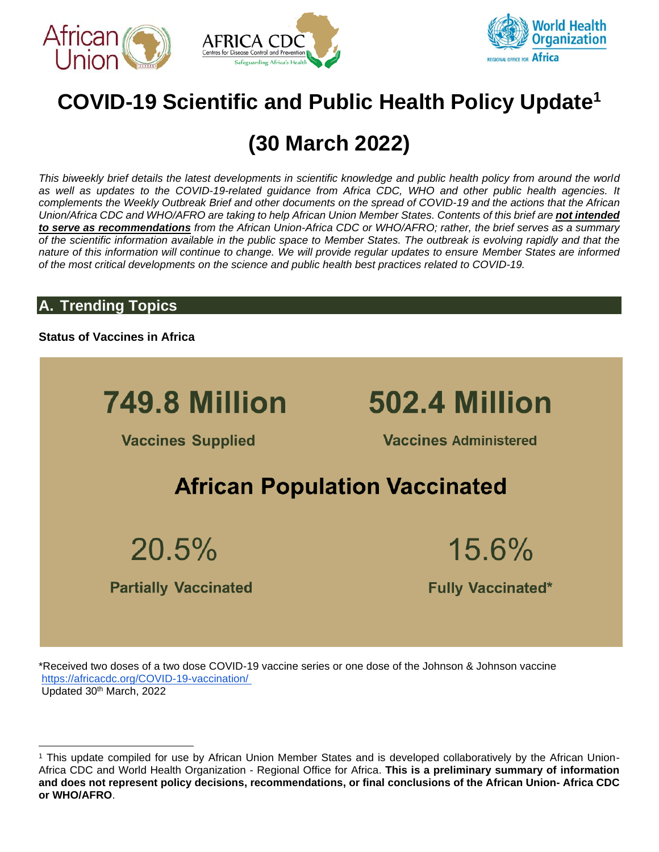





# **COVID-19 Scientific and Public Health Policy Update<sup>1</sup>**

# **(30 March 2022)**

*This biweekly brief details the latest developments in scientific knowledge and public health policy from around the world as well as updates to the COVID-19-related guidance from Africa CDC, WHO and other public health agencies. It complements the Weekly Outbreak Brief and other documents on the spread of COVID-19 and the actions that the African Union/Africa CDC and WHO/AFRO are taking to help African Union Member States. Contents of this brief are not intended to serve as recommendations from the African Union-Africa CDC or WHO/AFRO; rather, the brief serves as a summary of the scientific information available in the public space to Member States. The outbreak is evolving rapidly and that the nature of this information will continue to change. We will provide regular updates to ensure Member States are informed of the most critical developments on the science and public health best practices related to COVID-19.*

## **A. Trending Topics**

**Status of Vaccines in Africa**



\*Received two doses of a two dose COVID-19 vaccine series or one dose of the Johnson & Johnson vaccine [https://africacdc.org/COVID-19-vaccination/](https://africacdc.org/covid-19-vaccination/) Updated 30<sup>th</sup> March, 2022

<sup>1</sup> This update compiled for use by African Union Member States and is developed collaboratively by the African Union-Africa CDC and World Health Organization - Regional Office for Africa. **This is a preliminary summary of information and does not represent policy decisions, recommendations, or final conclusions of the African Union- Africa CDC or WHO/AFRO**.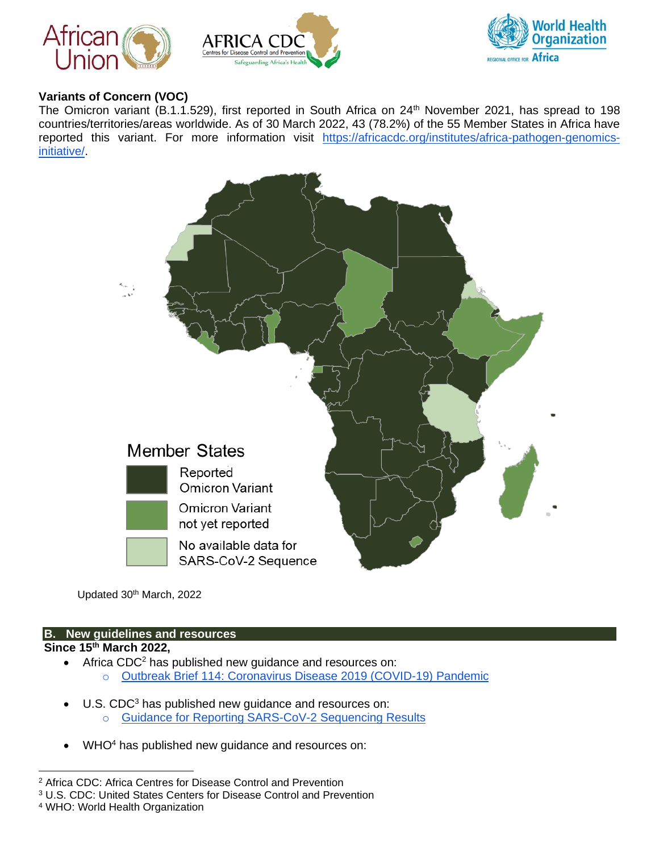





## **Variants of Concern (VOC)**

The Omicron variant (B.1.1.529), first reported in South Africa on 24<sup>th</sup> November 2021, has spread to 198 countries/territories/areas worldwide. As of 30 March 2022, 43 (78.2%) of the 55 Member States in Africa have reported this variant. For more information visit [https://africacdc.org/institutes/africa-pathogen-genomics](https://africacdc.org/institutes/africa-pathogen-genomics-initiative/)[initiative/.](https://africacdc.org/institutes/africa-pathogen-genomics-initiative/)



Updated 30th March, 2022

## **B. New guidelines and resources**

## **Since 15th March 2022,**

- Africa CDC<sup>2</sup> has published new guidance and resources on:
	- o [Outbreak Brief 114: Coronavirus Disease 2019 \(COVID-19\) Pandemic](https://africacdc.org/download/outbreak-brief-114-coronavirus-disease-2019-covid-19-pandemic/)
- U.S. CDC<sup>3</sup> has published new guidance and resources on:
	- o [Guidance for Reporting SARS-CoV-2 Sequencing Results](https://www.cdc.gov/coronavirus/2019-ncov/lab/resources/reporting-sequencing-guidance.html)
- WHO<sup>4</sup> has published new guidance and resources on:

<sup>4</sup> WHO: World Health Organization

<sup>2</sup> Africa CDC: Africa Centres for Disease Control and Prevention

<sup>3</sup> U.S. CDC: United States Centers for Disease Control and Prevention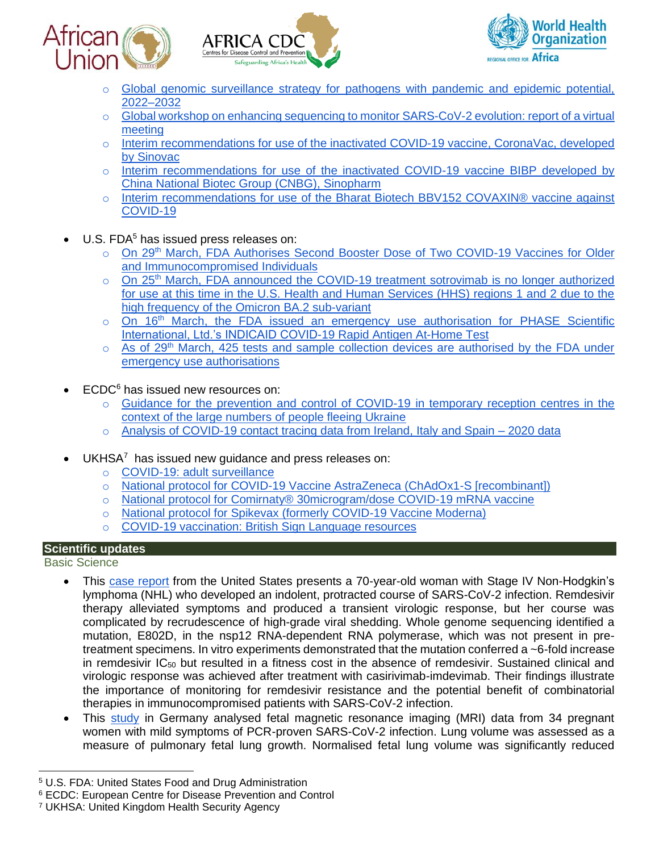





- o [Global genomic surveillance strategy for pathogens with pandemic and epidemic potential,](https://www.who.int/publications/i/item/9789240046979)  [2022–2032](https://www.who.int/publications/i/item/9789240046979)
- o Global workshop on enhancing sequencing to monitor SARS-CoV-2 evolution: report of a virtual [meeting](https://www.who.int/publications/i/item/9789240041486)
- o [Interim recommendations for use of the inactivated](https://www.who.int/publications/i/item/WHO-2019-nCoV-vaccines-SAGE_recommendation-Sinovac-CoronaVac-2021.1) COVID-19 vaccine, CoronaVac, developed [by Sinovac](https://www.who.int/publications/i/item/WHO-2019-nCoV-vaccines-SAGE_recommendation-Sinovac-CoronaVac-2021.1)
- o [Interim recommendations for use of the inactivated COVID-19 vaccine BIBP developed by](https://www.who.int/publications/i/item/WHO-2019-nCoV-vaccines-SAGE-recommendation-BIBP)  [China National Biotec Group \(CNBG\), Sinopharm](https://www.who.int/publications/i/item/WHO-2019-nCoV-vaccines-SAGE-recommendation-BIBP)
- o [Interim recommendations for use of the Bharat Biotech BBV152 COVAXIN® vaccine against](https://www.who.int/publications/i/item/WHO-2019-nCoV-vaccines-SAGE-recommendation-bbv152-covaxin)  [COVID-19](https://www.who.int/publications/i/item/WHO-2019-nCoV-vaccines-SAGE-recommendation-bbv152-covaxin)
- $\bullet$  U.S. FDA<sup>5</sup> has issued press releases on:
	- o On 29<sup>th</sup> March, FDA Authorises Second Booster Dose of Two COVID-19 Vaccines for Older [and Immunocompromised Individuals](https://www.fda.gov/news-events/press-announcements/coronavirus-covid-19-update-fda-authorizes-second-booster-dose-two-covid-19-vaccines-older-and)
	- $\circ$  On 25<sup>th</sup> March, FDA announced the COVID-19 treatment sotrovimab is no longer authorized [for use at this time in the U.S. Health and Human Services \(HHS\) regions 1 and 2 due to the](https://www.fda.gov/drugs/drug-safety-and-availability/fda-updates-sotrovimab-emergency-use-authorization)  [high frequency of the Omicron BA.2 sub-variant](https://www.fda.gov/drugs/drug-safety-and-availability/fda-updates-sotrovimab-emergency-use-authorization)
	- $\circ$  On 16<sup>th</sup> March, the FDA issued an emergency use authorisation for PHASE Scientific [International, Ltd.'s INDICAID COVID-19 Rapid Antigen At-Home Test](https://www.fda.gov/media/156956/download)
	- $\circ$  As of 29<sup>th</sup> March, 425 tests and sample collection devices are authorised by the FDA under [emergency use authorisations](https://www.fda.gov/news-events/press-announcements/fda-roundup-march-29-2022)
- ECDC<sup>6</sup> has issued new resources on:
	- o [Guidance for the prevention and control of COVID-19 in temporary reception centres in the](https://www.ecdc.europa.eu/en/publications-data/guidance-prevention-control-covid-19-temporary-reception-centres-people-fleeing-ukraine)  [context of the large numbers of people fleeing Ukraine](https://www.ecdc.europa.eu/en/publications-data/guidance-prevention-control-covid-19-temporary-reception-centres-people-fleeing-ukraine)
	- $\circ$  [Analysis of COVID-19 contact tracing data from Ireland, Italy and Spain –](https://www.ecdc.europa.eu/en/publications-data/analysis-covid-19-contact-tracing-data-ireland-italy-and-spain-2020-data) 2020 data
- $UKHSA<sup>7</sup>$  has issued new quidance and press releases on:
	- o [COVID-19: adult surveillance](https://www.gov.uk/guidance/covid-19-adult-surveillance)
	- o [National protocol for COVID-19 Vaccine AstraZeneca \(ChAdOx1-S \[recombinant\]\)](https://www.gov.uk/government/publications/national-protocol-for-covid-19-vaccine-astrazeneca-chadox1-s-recombinant)
	- o [National protocol for Comirnaty® 30microgram/dose COVID-19 mRNA vaccine](https://www.gov.uk/government/publications/national-protocol-for-comirnaty-covid-19-mrna-vaccine)
	- o [National protocol for Spikevax \(formerly COVID-19 Vaccine Moderna\)](https://www.gov.uk/government/publications/national-protocol-for-covid-19-vaccine-moderna)
	- o [COVID-19 vaccination: British Sign Language resources](https://www.gov.uk/government/publications/covid-19-vaccination-british-sign-language-resources)

## **Scientific updates**

Basic Science

- This [case report](https://www.nature.com/articles/s41467-022-29104-y?s=08) from the United States presents a 70-year-old woman with Stage IV Non-Hodgkin's lymphoma (NHL) who developed an indolent, protracted course of SARS-CoV-2 infection. Remdesivir therapy alleviated symptoms and produced a transient virologic response, but her course was complicated by recrudescence of high-grade viral shedding. Whole genome sequencing identified a mutation, E802D, in the nsp12 RNA-dependent RNA polymerase, which was not present in pretreatment specimens. In vitro experiments demonstrated that the mutation conferred a ~6-fold increase in remdesivir  $IC_{50}$  but resulted in a fitness cost in the absence of remdesivir. Sustained clinical and virologic response was achieved after treatment with casirivimab-imdevimab. Their findings illustrate the importance of monitoring for remdesivir resistance and the potential benefit of combinatorial therapies in immunocompromised patients with SARS-CoV-2 infection.
- This [study](https://www.thelancet.com/journals/lanres/article/PIIS2213-2600(22)00060-1/fulltext#%20) in Germany analysed fetal magnetic resonance imaging (MRI) data from 34 pregnant women with mild symptoms of PCR-proven SARS-CoV-2 infection. Lung volume was assessed as a measure of pulmonary fetal lung growth. Normalised fetal lung volume was significantly reduced

<sup>5</sup> U.S. FDA: United States Food and Drug Administration

<sup>6</sup> ECDC: European Centre for Disease Prevention and Control

<sup>7</sup> UKHSA: United Kingdom Health Security Agency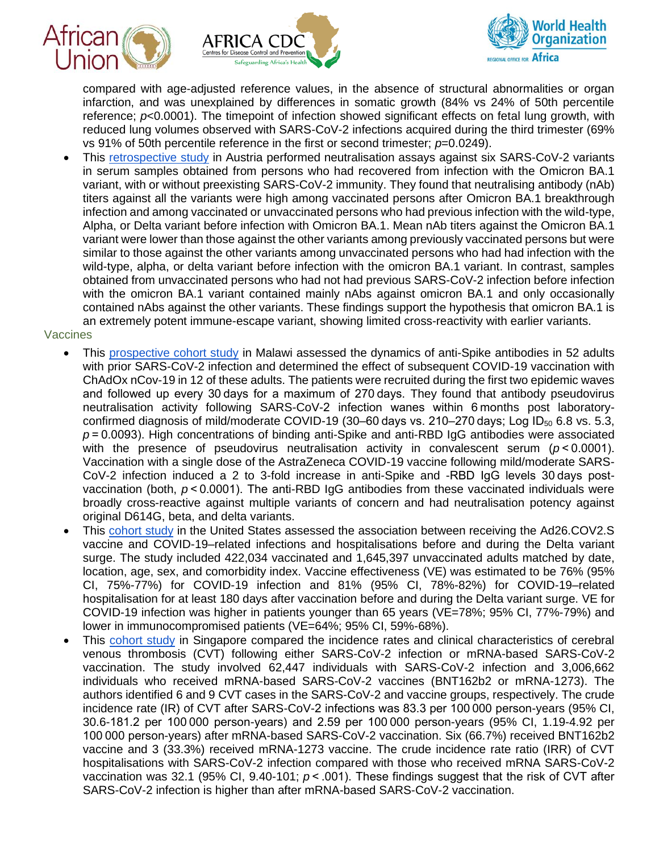





compared with age-adjusted reference values, in the absence of structural abnormalities or organ infarction, and was unexplained by differences in somatic growth (84% vs 24% of 50th percentile reference; *p*<0.0001). The timepoint of infection showed significant effects on fetal lung growth, with reduced lung volumes observed with SARS-CoV-2 infections acquired during the third trimester (69% vs 91% of 50th percentile reference in the first or second trimester;  $p=0.0249$ ).

• This [retrospective study](https://www.nejm.org/doi/full/10.1056/NEJMc2201607) in Austria performed neutralisation assays against six SARS-CoV-2 variants in serum samples obtained from persons who had recovered from infection with the Omicron BA.1 variant, with or without preexisting SARS-CoV-2 immunity. They found that neutralising antibody (nAb) titers against all the variants were high among vaccinated persons after Omicron BA.1 breakthrough infection and among vaccinated or unvaccinated persons who had previous infection with the wild-type, Alpha, or Delta variant before infection with Omicron BA.1. Mean nAb titers against the Omicron BA.1 variant were lower than those against the other variants among previously vaccinated persons but were similar to those against the other variants among unvaccinated persons who had had infection with the wild-type, alpha, or delta variant before infection with the omicron BA.1 variant. In contrast, samples obtained from unvaccinated persons who had not had previous SARS-CoV-2 infection before infection with the omicron BA.1 variant contained mainly nAbs against omicron BA.1 and only occasionally contained nAbs against the other variants. These findings support the hypothesis that omicron BA.1 is an extremely potent immune-escape variant, showing limited cross-reactivity with earlier variants.

#### **Vaccines**

- This [prospective cohort study](https://bmcmedicine.biomedcentral.com/articles/10.1186/s12916-022-02342-z) in Malawi assessed the dynamics of anti-Spike antibodies in 52 adults with prior SARS-CoV-2 infection and determined the effect of subsequent COVID-19 vaccination with ChAdOx nCov-19 in 12 of these adults. The patients were recruited during the first two epidemic waves and followed up every 30 days for a maximum of 270 days. They found that antibody pseudovirus neutralisation activity following SARS-CoV-2 infection wanes within 6 months post laboratoryconfirmed diagnosis of mild/moderate COVID-19 (30–60 days vs. 210–270 days; Log ID $_{50}$  6.8 vs. 5.3, *p* = 0.0093). High concentrations of binding anti-Spike and anti-RBD IgG antibodies were associated with the presence of pseudovirus neutralisation activity in convalescent serum  $(p < 0.0001)$ . Vaccination with a single dose of the AstraZeneca COVID-19 vaccine following mild/moderate SARS-CoV-2 infection induced a 2 to 3-fold increase in anti-Spike and -RBD IgG levels 30 days postvaccination (both, *p* < 0.0001). The anti-RBD IgG antibodies from these vaccinated individuals were broadly cross-reactive against multiple variants of concern and had neutralisation potency against original D614G, beta, and delta variants.
- This [cohort study](https://jamanetwork.com/journals/jamanetworkopen/fullarticle/2790204?resultClick=1) in the United States assessed the association between receiving the Ad26.COV2.S vaccine and COVID-19–related infections and hospitalisations before and during the Delta variant surge. The study included 422,034 vaccinated and 1,645,397 unvaccinated adults matched by date, location, age, sex, and comorbidity index. Vaccine effectiveness (VE) was estimated to be 76% (95% CI, 75%-77%) for COVID-19 infection and 81% (95% CI, 78%-82%) for COVID-19–related hospitalisation for at least 180 days after vaccination before and during the Delta variant surge. VE for COVID-19 infection was higher in patients younger than 65 years (VE=78%; 95% CI, 77%-79%) and lower in immunocompromised patients (VE=64%; 95% CI, 59%-68%).
- This [cohort study](https://jamanetwork.com/journals/jamanetworkopen/fullarticle/2790206?resultClick=1) in Singapore compared the incidence rates and clinical characteristics of cerebral venous thrombosis (CVT) following either SARS-CoV-2 infection or mRNA-based SARS-CoV-2 vaccination. The study involved 62,447 individuals with SARS-CoV-2 infection and 3,006,662 individuals who received mRNA-based SARS-CoV-2 vaccines (BNT162b2 or mRNA-1273). The authors identified 6 and 9 CVT cases in the SARS-CoV-2 and vaccine groups, respectively. The crude incidence rate (IR) of CVT after SARS-CoV-2 infections was 83.3 per 100 000 person-years (95% CI, 30.6-181.2 per 100 000 person-years) and 2.59 per 100 000 person-years (95% CI, 1.19-4.92 per 100 000 person-years) after mRNA-based SARS-CoV-2 vaccination. Six (66.7%) received BNT162b2 vaccine and 3 (33.3%) received mRNA-1273 vaccine. The crude incidence rate ratio (IRR) of CVT hospitalisations with SARS-CoV-2 infection compared with those who received mRNA SARS-CoV-2 vaccination was 32.1 (95% CI, 9.40-101; *p* < .001). These findings suggest that the risk of CVT after SARS-CoV-2 infection is higher than after mRNA-based SARS-CoV-2 vaccination.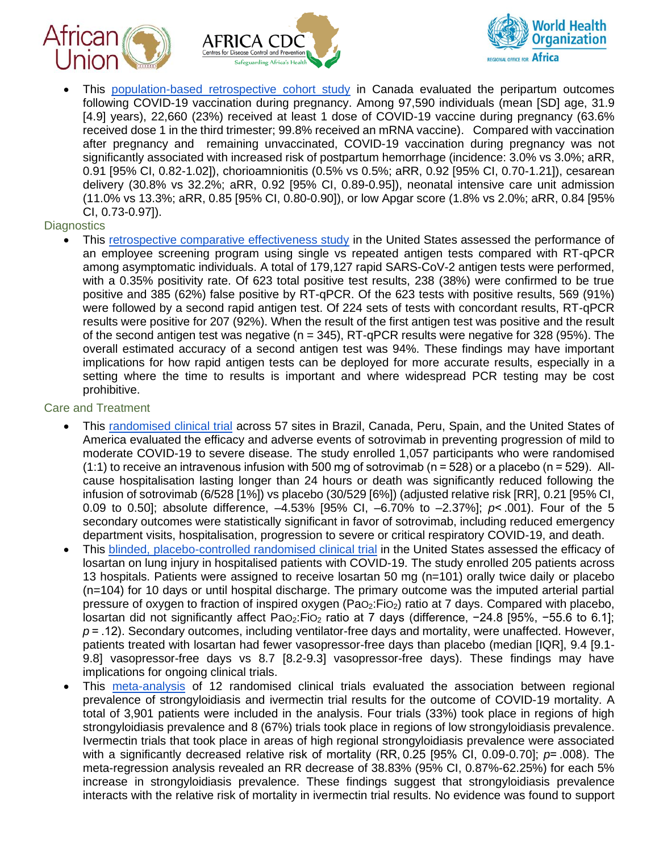





• This [population-based retrospective cohort study](https://jamanetwork.com/journals/jama/fullarticle/2790607?resultClick=1) in Canada evaluated the peripartum outcomes following COVID-19 vaccination during pregnancy. Among 97,590 individuals (mean [SD] age, 31.9 [4.9] years), 22,660 (23%) received at least 1 dose of COVID-19 vaccine during pregnancy (63.6% received dose 1 in the third trimester; 99.8% received an mRNA vaccine). Compared with vaccination after pregnancy and remaining unvaccinated, COVID-19 vaccination during pregnancy was not significantly associated with increased risk of postpartum hemorrhage (incidence: 3.0% vs 3.0%; aRR, 0.91 [95% CI, 0.82-1.02]), chorioamnionitis (0.5% vs 0.5%; aRR, 0.92 [95% CI, 0.70-1.21]), cesarean delivery (30.8% vs 32.2%; aRR, 0.92 [95% CI, 0.89-0.95]), neonatal intensive care unit admission (11.0% vs 13.3%; aRR, 0.85 [95% CI, 0.80-0.90]), or low Apgar score (1.8% vs 2.0%; aRR, 0.84 [95% CI, 0.73-0.97]).

## **Diagnostics**

This [retrospective comparative effectiveness study](https://jamanetwork.com/journals/jamanetworkopen/fullarticle/2790263?resultClick=1) in the United States assessed the performance of an employee screening program using single vs repeated antigen tests compared with RT-qPCR among asymptomatic individuals. A total of 179,127 rapid SARS-CoV-2 antigen tests were performed, with a 0.35% positivity rate. Of 623 total positive test results, 238 (38%) were confirmed to be true positive and 385 (62%) false positive by RT-qPCR. Of the 623 tests with positive results, 569 (91%) were followed by a second rapid antigen test. Of 224 sets of tests with concordant results, RT-qPCR results were positive for 207 (92%). When the result of the first antigen test was positive and the result of the second antigen test was negative ( $n = 345$ ), RT-qPCR results were negative for 328 (95%). The overall estimated accuracy of a second antigen test was 94%. These findings may have important implications for how rapid antigen tests can be deployed for more accurate results, especially in a setting where the time to results is important and where widespread PCR testing may be cost prohibitive.

#### Care and Treatment

- This [randomised clinical trial](https://jamanetwork.com/journals/jama/fullarticle/2790246?resultClick=1) across 57 sites in Brazil, Canada, Peru, Spain, and the United States of America evaluated the efficacy and adverse events of sotrovimab in preventing progression of mild to moderate COVID-19 to severe disease. The study enrolled 1,057 participants who were randomised (1:1) to receive an intravenous infusion with 500 mg of sotrovimab (n = 528) or a placebo (n = 529). Allcause hospitalisation lasting longer than 24 hours or death was significantly reduced following the infusion of sotrovimab (6/528 [1%]) vs placebo (30/529 [6%]) (adjusted relative risk [RR], 0.21 [95% CI, 0.09 to 0.50]; absolute difference, –4.53% [95% CI, –6.70% to –2.37%]; *p*< .001). Four of the 5 secondary outcomes were statistically significant in favor of sotrovimab, including reduced emergency department visits, hospitalisation, progression to severe or critical respiratory COVID-19, and death.
- This [blinded, placebo-controlled randomised clinical trial](https://jamanetwork.com/journals/jamanetworkopen/fullarticle/2790162?resultClick=1) in the United States assessed the efficacy of losartan on lung injury in hospitalised patients with COVID-19. The study enrolled 205 patients across 13 hospitals. Patients were assigned to receive losartan 50 mg (n=101) orally twice daily or placebo (n=104) for 10 days or until hospital discharge. The primary outcome was the imputed arterial partial pressure of oxygen to fraction of inspired oxygen ( $PaO<sub>2</sub>:FiO<sub>2</sub>$ ) ratio at 7 days. Compared with placebo, losartan did not significantly affect PaO<sub>2</sub>:FiO<sub>2</sub> ratio at 7 days (difference, -24.8 [95%, -55.6 to 6.1]; *p* = .12). Secondary outcomes, including ventilator-free days and mortality, were unaffected. However, patients treated with losartan had fewer vasopressor-free days than placebo (median [IQR], 9.4 [9.1- 9.8] vasopressor-free days vs 8.7 [8.2-9.3] vasopressor-free days). These findings may have implications for ongoing clinical trials.
- This [meta-analysis](https://jamanetwork.com/journals/jamanetworkopen/fullarticle/2790173?resultClick=1) of 12 randomised clinical trials evaluated the association between regional prevalence of strongyloidiasis and ivermectin trial results for the outcome of COVID-19 mortality. A total of 3,901 patients were included in the analysis. Four trials (33%) took place in regions of high strongyloidiasis prevalence and 8 (67%) trials took place in regions of low strongyloidiasis prevalence. Ivermectin trials that took place in areas of high regional strongyloidiasis prevalence were associated with a significantly decreased relative risk of mortality (RR, 0.25 [95% CI, 0.09-0.70]; *p*= .008). The meta-regression analysis revealed an RR decrease of 38.83% (95% CI, 0.87%-62.25%) for each 5% increase in strongyloidiasis prevalence. These findings suggest that strongyloidiasis prevalence interacts with the relative risk of mortality in ivermectin trial results. No evidence was found to support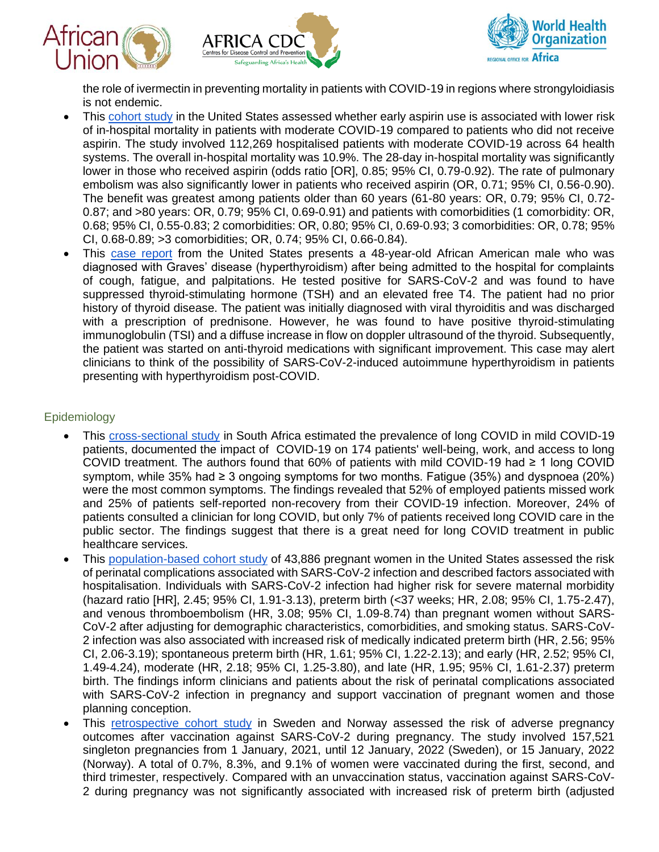





the role of ivermectin in preventing mortality in patients with COVID-19 in regions where strongyloidiasis is not endemic.

- This [cohort study](https://jamanetwork.com/journals/jamanetworkopen/fullarticle/2790439?resultClick=1) in the United States assessed whether early aspirin use is associated with lower risk of in-hospital mortality in patients with moderate COVID-19 compared to patients who did not receive aspirin. The study involved 112,269 hospitalised patients with moderate COVID-19 across 64 health systems. The overall in-hospital mortality was 10.9%. The 28-day in-hospital mortality was significantly lower in those who received aspirin (odds ratio [OR], 0.85; 95% CI, 0.79-0.92). The rate of pulmonary embolism was also significantly lower in patients who received aspirin (OR, 0.71; 95% CI, 0.56-0.90). The benefit was greatest among patients older than 60 years (61-80 years: OR, 0.79; 95% CI, 0.72- 0.87; and >80 years: OR, 0.79; 95% CI, 0.69-0.91) and patients with comorbidities (1 comorbidity: OR, 0.68; 95% CI, 0.55-0.83; 2 comorbidities: OR, 0.80; 95% CI, 0.69-0.93; 3 comorbidities: OR, 0.78; 95% CI, 0.68-0.89; >3 comorbidities; OR, 0.74; 95% CI, 0.66-0.84).
- This [case report](https://www.ncbi.nlm.nih.gov/pmc/articles/PMC8931151/) from the United States presents a 48-year-old African American male who was diagnosed with Graves' disease (hyperthyroidism) after being admitted to the hospital for complaints of cough, fatigue, and palpitations. He tested positive for SARS-CoV-2 and was found to have suppressed thyroid-stimulating hormone (TSH) and an elevated free T4. The patient had no prior history of thyroid disease. The patient was initially diagnosed with viral thyroiditis and was discharged with a prescription of prednisone. However, he was found to have positive thyroid-stimulating immunoglobulin (TSI) and a diffuse increase in flow on doppler ultrasound of the thyroid. Subsequently, the patient was started on anti-thyroid medications with significant improvement. This case may alert clinicians to think of the possibility of SARS-CoV-2-induced autoimmune hyperthyroidism in patients presenting with hyperthyroidism post-COVID.

## Epidemiology

- This [cross-sectional study](https://www.ncbi.nlm.nih.gov/pmc/articles/PMC8905322/) in South Africa estimated the prevalence of long COVID in mild COVID-19 patients, documented the impact of COVID-19 on 174 patients' well-being, work, and access to long COVID treatment. The authors found that 60% of patients with mild COVID-19 had ≥ 1 long COVID symptom, while 35% had ≥ 3 ongoing symptoms for two months. Fatigue (35%) and dyspnoea (20%) were the most common symptoms. The findings revealed that 52% of employed patients missed work and 25% of patients self-reported non-recovery from their COVID-19 infection. Moreover, 24% of patients consulted a clinician for long COVID, but only 7% of patients received long COVID care in the public sector. The findings suggest that there is a great need for long COVID treatment in public healthcare services.
- This [population-based cohort study](https://jamanetwork.com/journals/jamainternalmedicine/fullarticle/2790318?resultClick=1) of 43,886 pregnant women in the United States assessed the risk of perinatal complications associated with SARS-CoV-2 infection and described factors associated with hospitalisation. Individuals with SARS-CoV-2 infection had higher risk for severe maternal morbidity (hazard ratio [HR], 2.45; 95% CI, 1.91-3.13), preterm birth (<37 weeks; HR, 2.08; 95% CI, 1.75-2.47), and venous thromboembolism (HR, 3.08; 95% CI, 1.09-8.74) than pregnant women without SARS-CoV-2 after adjusting for demographic characteristics, comorbidities, and smoking status. SARS-CoV-2 infection was also associated with increased risk of medically indicated preterm birth (HR, 2.56; 95% CI, 2.06-3.19); spontaneous preterm birth (HR, 1.61; 95% CI, 1.22-2.13); and early (HR, 2.52; 95% CI, 1.49-4.24), moderate (HR, 2.18; 95% CI, 1.25-3.80), and late (HR, 1.95; 95% CI, 1.61-2.37) preterm birth. The findings inform clinicians and patients about the risk of perinatal complications associated with SARS-CoV-2 infection in pregnancy and support vaccination of pregnant women and those planning conception.
- This [retrospective cohort study](https://jamanetwork.com/journals/jama/fullarticle/2790608?resultClick=1) in Sweden and Norway assessed the risk of adverse pregnancy outcomes after vaccination against SARS-CoV-2 during pregnancy. The study involved 157,521 singleton pregnancies from 1 January, 2021, until 12 January, 2022 (Sweden), or 15 January, 2022 (Norway). A total of 0.7%, 8.3%, and 9.1% of women were vaccinated during the first, second, and third trimester, respectively. Compared with an unvaccination status, vaccination against SARS-CoV-2 during pregnancy was not significantly associated with increased risk of preterm birth (adjusted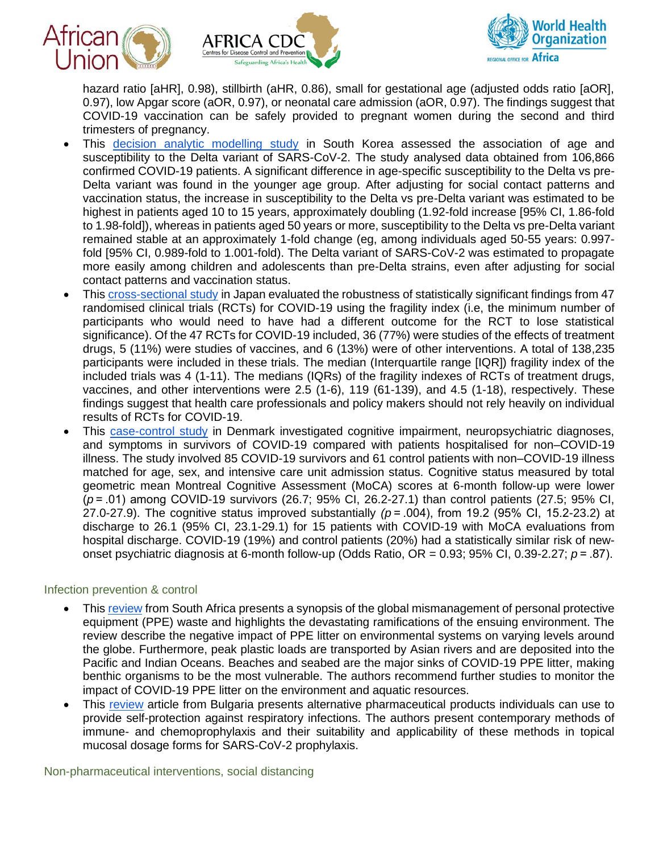





hazard ratio [aHR], 0.98), stillbirth (aHR, 0.86), small for gestational age (adjusted odds ratio [aOR], 0.97), low Apgar score (aOR, 0.97), or neonatal care admission (aOR, 0.97). The findings suggest that COVID-19 vaccination can be safely provided to pregnant women during the second and third trimesters of pregnancy.

- This [decision analytic modelling study](https://jamanetwork.com/journals/jamanetworkopen/fullarticle/2790253?resultClick=1) in South Korea assessed the association of age and susceptibility to the Delta variant of SARS-CoV-2. The study analysed data obtained from 106,866 confirmed COVID-19 patients. A significant difference in age-specific susceptibility to the Delta vs pre-Delta variant was found in the younger age group. After adjusting for social contact patterns and vaccination status, the increase in susceptibility to the Delta vs pre-Delta variant was estimated to be highest in patients aged 10 to 15 years, approximately doubling (1.92-fold increase [95% CI, 1.86-fold to 1.98-fold]), whereas in patients aged 50 years or more, susceptibility to the Delta vs pre-Delta variant remained stable at an approximately 1-fold change (eg, among individuals aged 50-55 years: 0.997 fold [95% CI, 0.989-fold to 1.001-fold). The Delta variant of SARS-CoV-2 was estimated to propagate more easily among children and adolescents than pre-Delta strains, even after adjusting for social contact patterns and vaccination status.
- This [cross-sectional study](https://jamanetwork.com/journals/jamanetworkopen/fullarticle/2790259?resultClick=1) in Japan evaluated the robustness of statistically significant findings from 47 randomised clinical trials (RCTs) for COVID-19 using the fragility index (i.e, the minimum number of participants who would need to have had a different outcome for the RCT to lose statistical significance). Of the 47 RCTs for COVID-19 included, 36 (77%) were studies of the effects of treatment drugs, 5 (11%) were studies of vaccines, and 6 (13%) were of other interventions. A total of 138,235 participants were included in these trials. The median (Interquartile range [IQR]) fragility index of the included trials was 4 (1-11). The medians (IQRs) of the fragility indexes of RCTs of treatment drugs, vaccines, and other interventions were 2.5 (1-6), 119 (61-139), and 4.5 (1-18), respectively. These findings suggest that health care professionals and policy makers should not rely heavily on individual results of RCTs for COVID-19.
- This [case-control study](https://jamanetwork.com/journals/jamapsychiatry/fullarticle/2790554?resultClick=1) in Denmark investigated cognitive impairment, neuropsychiatric diagnoses, and symptoms in survivors of COVID-19 compared with patients hospitalised for non–COVID-19 illness. The study involved 85 COVID-19 survivors and 61 control patients with non–COVID-19 illness matched for age, sex, and intensive care unit admission status. Cognitive status measured by total geometric mean Montreal Cognitive Assessment (MoCA) scores at 6-month follow-up were lower (*p* = .01) among COVID-19 survivors (26.7; 95% CI, 26.2-27.1) than control patients (27.5; 95% CI, 27.0-27.9). The cognitive status improved substantially  $(p = .004)$ , from 19.2 (95% CI, 15.2-23.2) at discharge to 26.1 (95% CI, 23.1-29.1) for 15 patients with COVID-19 with MoCA evaluations from hospital discharge. COVID-19 (19%) and control patients (20%) had a statistically similar risk of newonset psychiatric diagnosis at 6-month follow-up (Odds Ratio, OR = 0.93; 95% CI, 0.39-2.27; *p* = .87).

#### Infection prevention & control

- This [review](https://www.ncbi.nlm.nih.gov/pmc/articles/PMC8941298/) from South Africa presents a synopsis of the global mismanagement of personal protective equipment (PPE) waste and highlights the devastating ramifications of the ensuing environment. The review describe the negative impact of PPE litter on environmental systems on varying levels around the globe. Furthermore, peak plastic loads are transported by Asian rivers and are deposited into the Pacific and Indian Oceans. Beaches and seabed are the major sinks of COVID-19 PPE litter, making benthic organisms to be the most vulnerable. The authors recommend further studies to monitor the impact of COVID-19 PPE litter on the environment and aquatic resources.
- This [review](https://www.ncbi.nlm.nih.gov/pmc/articles/PMC8953301/) article from Bulgaria presents alternative pharmaceutical products individuals can use to provide self-protection against respiratory infections. The authors present contemporary methods of immune- and chemoprophylaxis and their suitability and applicability of these methods in topical mucosal dosage forms for SARS-CoV-2 prophylaxis.

Non-pharmaceutical interventions, social distancing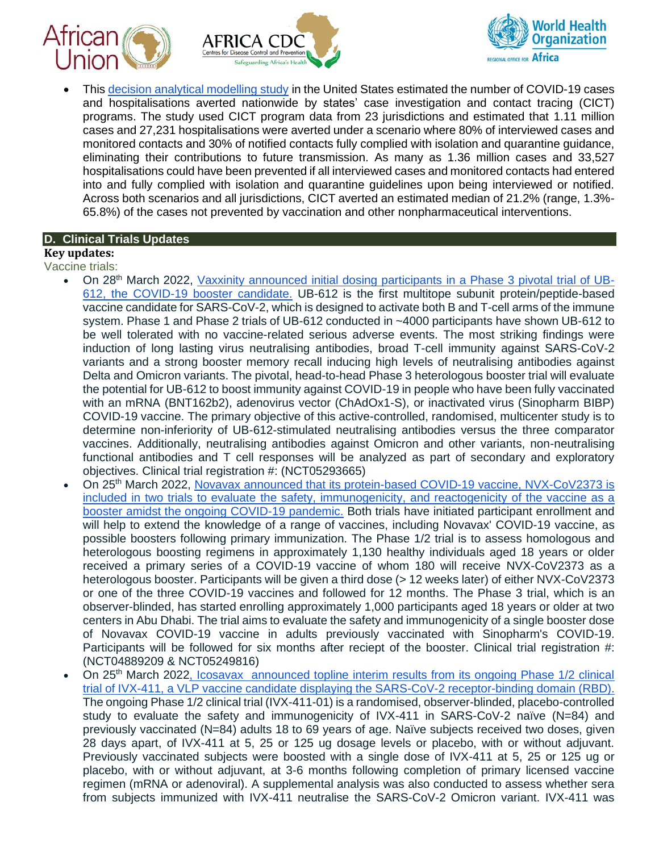





• This [decision analytical modelling study](https://jamanetwork.com/journals/jamanetworkopen/fullarticle/2790518?resultClick=1) in the United States estimated the number of COVID-19 cases and hospitalisations averted nationwide by states' case investigation and contact tracing (CICT) programs. The study used CICT program data from 23 jurisdictions and estimated that 1.11 million cases and 27,231 hospitalisations were averted under a scenario where 80% of interviewed cases and monitored contacts and 30% of notified contacts fully complied with isolation and quarantine guidance, eliminating their contributions to future transmission. As many as 1.36 million cases and 33,527 hospitalisations could have been prevented if all interviewed cases and monitored contacts had entered into and fully complied with isolation and quarantine guidelines upon being interviewed or notified. Across both scenarios and all jurisdictions, CICT averted an estimated median of 21.2% (range, 1.3%- 65.8%) of the cases not prevented by vaccination and other nonpharmaceutical interventions.

#### **D. Clinical Trials Updates**

## **Key updates:**

- Vaccine trials:
	- On 28th March 2022, [Vaxxinity announced initial dosing participants in a Phase 3 pivotal trial of UB-](https://ir.vaxxinity.com/news-releases/news-release-details/vaxxinity-announces-first-participant-dosed-phase-3-study-next)[612, the COVID-19 booster candidate.](https://ir.vaxxinity.com/news-releases/news-release-details/vaxxinity-announces-first-participant-dosed-phase-3-study-next) UB-612 is the first multitope subunit protein/peptide-based vaccine candidate for SARS-CoV-2, which is designed to activate both B and T-cell arms of the immune system. Phase 1 and Phase 2 trials of UB-612 conducted in ~4000 participants have shown UB-612 to be well tolerated with no vaccine-related serious adverse events. The most striking findings were induction of long lasting virus neutralising antibodies, broad T-cell immunity against SARS-CoV-2 variants and a strong booster memory recall inducing high levels of neutralising antibodies against Delta and Omicron variants. The pivotal, head-to-head Phase 3 heterologous booster trial will evaluate the potential for UB-612 to boost immunity against COVID-19 in people who have been fully vaccinated with an mRNA (BNT162b2), adenovirus vector (ChAdOx1-S), or inactivated virus (Sinopharm BIBP) COVID-19 vaccine. The primary objective of this active-controlled, randomised, multicenter study is to determine non-inferiority of UB-612-stimulated neutralising antibodies versus the three comparator vaccines. Additionally, neutralising antibodies against Omicron and other variants, non-neutralising functional antibodies and T cell responses will be analyzed as part of secondary and exploratory objectives. Clinical trial registration #: (NCT05293665)
	- On 25th March 2022, [Novavax announced that its protein-based COVID-19 vaccine, NVX-CoV2373 is](https://ir.novavax.com/2022-03-25-Novavax-Announces-Participation-in-Two-Booster-Studies-Using-its-COVID-19-Vaccine)  [included in two trials to evaluate the safety, immunogenicity, and reactogenicity](https://ir.novavax.com/2022-03-25-Novavax-Announces-Participation-in-Two-Booster-Studies-Using-its-COVID-19-Vaccine) of the vaccine as a [booster amidst the ongoing COVID-19 pandemic.](https://ir.novavax.com/2022-03-25-Novavax-Announces-Participation-in-Two-Booster-Studies-Using-its-COVID-19-Vaccine) Both trials have initiated participant enrollment and will help to extend the knowledge of a range of vaccines, including Novavax' COVID-19 vaccine, as possible boosters following primary immunization. The Phase 1/2 trial is to assess homologous and heterologous boosting regimens in approximately 1,130 healthy individuals aged 18 years or older received a primary series of a COVID-19 vaccine of whom 180 will receive NVX-CoV2373 as a heterologous booster. Participants will be given a third dose (> 12 weeks later) of either NVX-CoV2373 or one of the three COVID-19 vaccines and followed for 12 months. The Phase 3 trial, which is an observer-blinded, has started enrolling approximately 1,000 participants aged 18 years or older at two centers in Abu Dhabi. The trial aims to evaluate the safety and immunogenicity of a single booster dose of Novavax COVID-19 vaccine in adults previously vaccinated with Sinopharm's COVID-19. Participants will be followed for six months after reciept of the booster. Clinical trial registration #: (NCT04889209 & NCT05249816)
	- On 25<sup>th</sup> March 2022, Icosavax announced topline interim results from its ongoing Phase 1/2 clinical [trial of IVX-411, a VLP vaccine candidate displaying the SARS-CoV-2 receptor-binding domain \(RBD\).](https://investors.icosavax.com/news-releases/news-release-details/icosavax-announces-topline-interim-phase-12-results-ivx-411) The ongoing Phase 1/2 clinical trial (IVX-411-01) is a randomised, observer-blinded, placebo-controlled study to evaluate the safety and immunogenicity of IVX-411 in SARS-CoV-2 naïve (N=84) and previously vaccinated (N=84) adults 18 to 69 years of age. Naïve subjects received two doses, given 28 days apart, of IVX-411 at 5, 25 or 125 ug dosage levels or placebo, with or without adjuvant. Previously vaccinated subjects were boosted with a single dose of IVX-411 at 5, 25 or 125 ug or placebo, with or without adjuvant, at 3-6 months following completion of primary licensed vaccine regimen (mRNA or adenoviral). A supplemental analysis was also conducted to assess whether sera from subjects immunized with IVX-411 neutralise the SARS-CoV-2 Omicron variant. IVX-411 was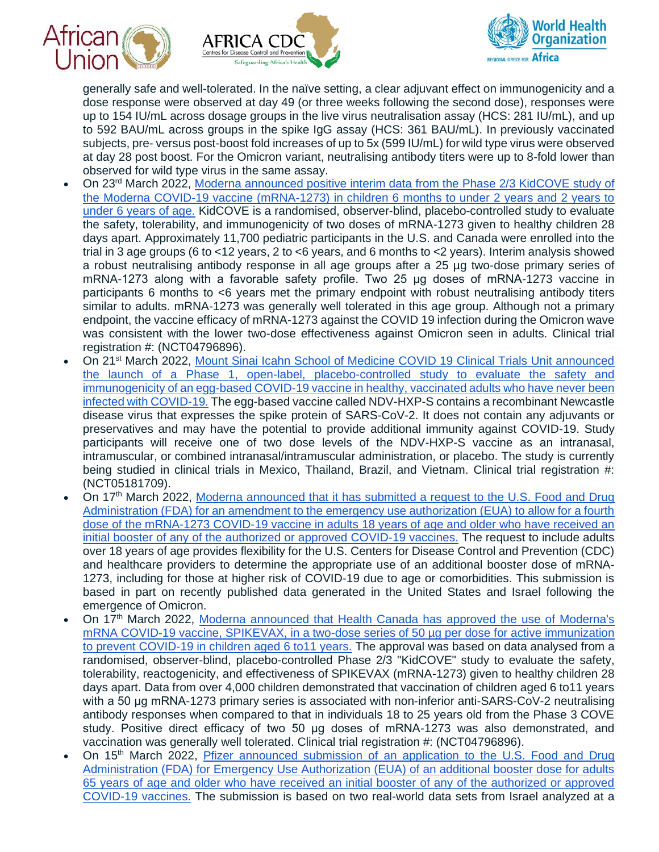





generally safe and well-tolerated. In the naïve setting, a clear adjuvant effect on immunogenicity and a dose response were observed at day 49 (or three weeks following the second dose), responses were up to 154 IU/mL across dosage groups in the live virus neutralisation assay (HCS: 281 IU/mL), and up to 592 BAU/mL across groups in the spike IgG assay (HCS: 361 BAU/mL). In previously vaccinated subjects, pre- versus post-boost fold increases of up to 5x (599 IU/mL) for wild type virus were observed at day 28 post boost. For the Omicron variant, neutralising antibody titers were up to 8-fold lower than observed for wild type virus in the same assay.

- On 23rd March 2022, [Moderna announced positive interim data from the Phase 2/3 KidCOVE study of](https://investors.modernatx.com/news/news-details/2022/Moderna-Announces-its-COVID-19-Vaccine-Phase-23-Study-in-Children-6-Months-to-Under-6-Years-Has-Successfully-Met-Its-Primary-Endpoint/default.aspx)  [the Moderna COVID-19 vaccine \(mRNA-1273\) in children 6 months to under 2 years and 2 years to](https://investors.modernatx.com/news/news-details/2022/Moderna-Announces-its-COVID-19-Vaccine-Phase-23-Study-in-Children-6-Months-to-Under-6-Years-Has-Successfully-Met-Its-Primary-Endpoint/default.aspx)  [under 6 years of age.](https://investors.modernatx.com/news/news-details/2022/Moderna-Announces-its-COVID-19-Vaccine-Phase-23-Study-in-Children-6-Months-to-Under-6-Years-Has-Successfully-Met-Its-Primary-Endpoint/default.aspx) KidCOVE is a randomised, observer-blind, placebo-controlled study to evaluate the safety, tolerability, and immunogenicity of two doses of mRNA-1273 given to healthy children 28 days apart. Approximately 11,700 pediatric participants in the U.S. and Canada were enrolled into the trial in 3 age groups (6 to <12 years, 2 to <6 years, and 6 months to <2 years). Interim analysis showed a robust neutralising antibody response in all age groups after a 25 µg two-dose primary series of mRNA-1273 along with a favorable safety profile. Two 25 μg doses of mRNA-1273 vaccine in participants 6 months to <6 years met the primary endpoint with robust neutralising antibody titers similar to adults. mRNA-1273 was generally well tolerated in this age group. Although not a primary endpoint, the vaccine efficacy of mRNA-1273 against the COVID 19 infection during the Omicron wave was consistent with the lower two-dose effectiveness against Omicron seen in adults. Clinical trial registration #: (NCT04796896).
- On 21st March 2022, [Mount Sinai Icahn School of Medicine COVID 19 Clinical Trials Unit announced](https://www.mountsinai.org/about/newsroom/2022/mount-sinai-launches-phase-one-us-trial-of-ndvhxps-an-egg-based-investigational-covid-vaccine-in-healthy-adults-previously-immunized-against-covid)  [the launch of a Phase 1, open-label, placebo-controlled study to evaluate the safety and](https://www.mountsinai.org/about/newsroom/2022/mount-sinai-launches-phase-one-us-trial-of-ndvhxps-an-egg-based-investigational-covid-vaccine-in-healthy-adults-previously-immunized-against-covid)  [immunogenicity of an egg-based COVID-19 vaccine in healthy, vaccinated adults who have never been](https://www.mountsinai.org/about/newsroom/2022/mount-sinai-launches-phase-one-us-trial-of-ndvhxps-an-egg-based-investigational-covid-vaccine-in-healthy-adults-previously-immunized-against-covid)  [infected with COVID-19.](https://www.mountsinai.org/about/newsroom/2022/mount-sinai-launches-phase-one-us-trial-of-ndvhxps-an-egg-based-investigational-covid-vaccine-in-healthy-adults-previously-immunized-against-covid) The egg-based vaccine called NDV-HXP-S contains a recombinant Newcastle disease virus that expresses the spike protein of SARS-CoV-2. It does not contain any adjuvants or preservatives and may have the potential to provide additional immunity against COVID-19. Study participants will receive one of two dose levels of the NDV-HXP-S vaccine as an intranasal, intramuscular, or combined intranasal/intramuscular administration, or placebo. The study is currently being studied in clinical trials in Mexico, Thailand, Brazil, and Vietnam. Clinical trial registration #: (NCT05181709).
- On 17th March 2022, [Moderna announced that it has submitted a request to the U.S. Food and Drug](https://investors.modernatx.com/news/news-details/2022/Moderna-Submits-Amendment-to-the-Emergency-Use-Authorization-for-an-Additional-Booster-Dose-of-its-COVID-19-Vaccine-in-the-U.S/default.aspx)  [Administration \(FDA\) for an amendment to the emergency use authorization \(EUA\) to allow for a fourth](https://investors.modernatx.com/news/news-details/2022/Moderna-Submits-Amendment-to-the-Emergency-Use-Authorization-for-an-Additional-Booster-Dose-of-its-COVID-19-Vaccine-in-the-U.S/default.aspx)  dose of the mRNA-1273 [COVID-19 vaccine in adults 18 years of age and older who have received an](https://investors.modernatx.com/news/news-details/2022/Moderna-Submits-Amendment-to-the-Emergency-Use-Authorization-for-an-Additional-Booster-Dose-of-its-COVID-19-Vaccine-in-the-U.S/default.aspx)  [initial booster of any of the authorized or approved COVID-19 vaccines.](https://investors.modernatx.com/news/news-details/2022/Moderna-Submits-Amendment-to-the-Emergency-Use-Authorization-for-an-Additional-Booster-Dose-of-its-COVID-19-Vaccine-in-the-U.S/default.aspx) The request to include adults over 18 years of age provides flexibility for the U.S. Centers for Disease Control and Prevention (CDC) and healthcare providers to determine the appropriate use of an additional booster dose of mRNA-1273, including for those at higher risk of COVID-19 due to age or comorbidities. This submission is based in part on recently published data generated in the United States and Israel following the emergence of Omicron.
- On 17th March 2022, [Moderna announced that Health Canada has approved the use of Moderna's](https://investors.modernatx.com/news/news-details/2022/Health-Canada-Authorizes-Modernas-COVID-19-Vaccine-in-Children-6-11-Years/default.aspx)  [mRNA COVID-19 vaccine, SPIKEVAX, in a two-dose series of 50 µg per dose for active immunization](https://investors.modernatx.com/news/news-details/2022/Health-Canada-Authorizes-Modernas-COVID-19-Vaccine-in-Children-6-11-Years/default.aspx)  [to prevent COVID-19 in children aged 6 to11 years.](https://investors.modernatx.com/news/news-details/2022/Health-Canada-Authorizes-Modernas-COVID-19-Vaccine-in-Children-6-11-Years/default.aspx) The approval was based on data analysed from a randomised, observer-blind, placebo-controlled Phase 2/3 "KidCOVE" study to evaluate the safety, tolerability, reactogenicity, and effectiveness of SPIKEVAX (mRNA-1273) given to healthy children 28 days apart. Data from over 4,000 children demonstrated that vaccination of children aged 6 to11 years with a 50 μg mRNA-1273 primary series is associated with non-inferior anti-SARS-CoV-2 neutralising antibody responses when compared to that in individuals 18 to 25 years old from the Phase 3 COVE study. Positive direct efficacy of two 50 μg doses of mRNA-1273 was also demonstrated, and vaccination was generally well tolerated. Clinical trial registration #: (NCT04796896).
- On 15<sup>th</sup> March 2022, *Pfizer announced submission of an application to the U.S. Food and Drug* [Administration \(FDA\) for Emergency Use Authorization \(EUA\) of an additional booster dose for adults](https://www.pfizer.com/news/press-release/press-release-detail/pfizer-and-biontech-submit-us-emergency-use-authorization)  [65 years of age and older who have received an initial booster of any of the authorized or approved](https://www.pfizer.com/news/press-release/press-release-detail/pfizer-and-biontech-submit-us-emergency-use-authorization)  [COVID-19 vaccines.](https://www.pfizer.com/news/press-release/press-release-detail/pfizer-and-biontech-submit-us-emergency-use-authorization) The submission is based on two real-world data sets from Israel analyzed at a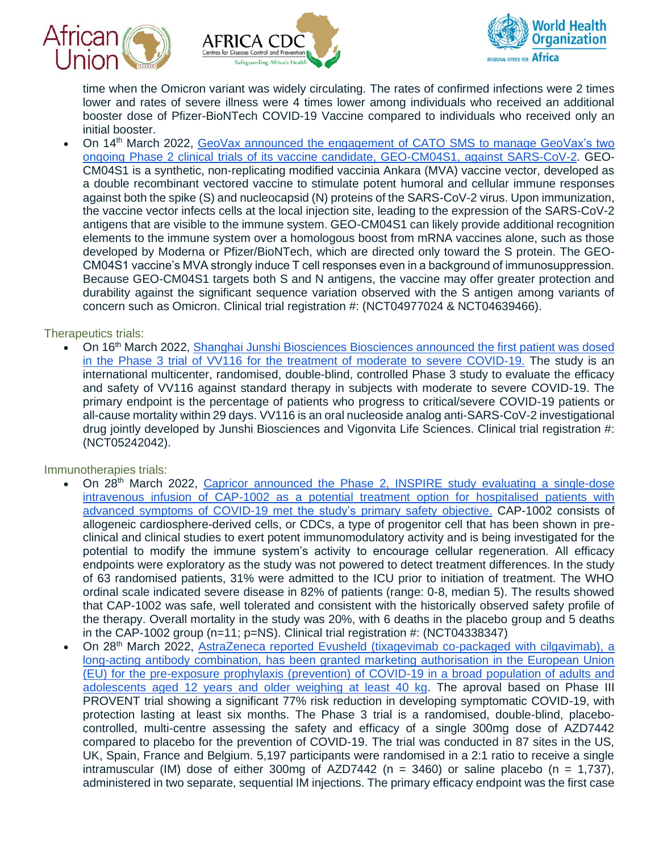





time when the Omicron variant was widely circulating. The rates of confirmed infections were 2 times lower and rates of severe illness were 4 times lower among individuals who received an additional booster dose of Pfizer-BioNTech COVID-19 Vaccine compared to individuals who received only an initial booster.

• On 14<sup>th</sup> March 2022, GeoVax announced the engagement of CATO SMS to manage GeoVax's two [ongoing Phase 2 clinical trials of its vaccine candidate, GEO-CM04S1, against SARS-CoV-2.](https://www.geovax.com/investors/news/geovax-retains-cato-sms-to-manage-two-phase-2-covid-19-vaccine-clinical-trials) GEO-CM04S1 is a synthetic, non-replicating modified vaccinia Ankara (MVA) vaccine vector, developed as a double recombinant vectored vaccine to stimulate potent humoral and cellular immune responses against both the spike (S) and nucleocapsid (N) proteins of the SARS-CoV-2 virus. Upon immunization, the vaccine vector infects cells at the local injection site, leading to the expression of the SARS-CoV-2 antigens that are visible to the immune system. GEO-CM04S1 can likely provide additional recognition elements to the immune system over a homologous boost from mRNA vaccines alone, such as those developed by Moderna or Pfizer/BioNTech, which are directed only toward the S protein. The GEO-CM04S1 vaccine's MVA strongly induce T cell responses even in a background of immunosuppression. Because GEO-CM04S1 targets both S and N antigens, the vaccine may offer greater protection and durability against the significant sequence variation observed with the S antigen among variants of concern such as Omicron. Clinical trial registration #: (NCT04977024 & NCT04639466).

### Therapeutics trials:

• On 16th March 2022, [Shanghai Junshi Biosciences Biosciences announced the first patient was dosed](https://portalvhds1fxb0jchzgjph.blob.core.windows.net/press-releases-attachments/1396606/HKEX-EPS_20220316_10156415_0.PDF)  in the [Phase 3 trial of VV116 for the treatment of moderate to severe COVID-19.](https://portalvhds1fxb0jchzgjph.blob.core.windows.net/press-releases-attachments/1396606/HKEX-EPS_20220316_10156415_0.PDF) The study is an international multicenter, randomised, double-blind, controlled Phase 3 study to evaluate the efficacy and safety of VV116 against standard therapy in subjects with moderate to severe COVID-19. The primary endpoint is the percentage of patients who progress to critical/severe COVID-19 patients or all-cause mortality within 29 days. VV116 is an oral nucleoside analog anti-SARS-CoV-2 investigational drug jointly developed by Junshi Biosciences and Vigonvita Life Sciences. Clinical trial registration #: (NCT05242042).

#### Immunotherapies trials:

- On 28<sup>th</sup> March 2022, Capricor announced the Phase 2, INSPIRE study evaluating a single-dose [intravenous infusion of CAP-1002 as a potential treatment option for hospitalised patients with](https://feeds.issuerdirect.com/news-release.html?newsid=7331752310796399)  [advanced symptoms of COVID-19 met the study's](https://feeds.issuerdirect.com/news-release.html?newsid=7331752310796399) primary safety objective. CAP-1002 consists of allogeneic cardiosphere-derived cells, or CDCs, a type of progenitor cell that has been shown in preclinical and clinical studies to exert potent immunomodulatory activity and is being investigated for the potential to modify the immune system's activity to encourage cellular regeneration. All efficacy endpoints were exploratory as the study was not powered to detect treatment differences. In the study of 63 randomised patients, 31% were admitted to the ICU prior to initiation of treatment. The WHO ordinal scale indicated severe disease in 82% of patients (range: 0-8, median 5). The results showed that CAP-1002 was safe, well tolerated and consistent with the historically observed safety profile of the therapy. Overall mortality in the study was 20%, with 6 deaths in the placebo group and 5 deaths in the CAP-1002 group ( $n=11$ ;  $p=NS$ ). Clinical trial registration #: (NCT04338347)
- On 28th March 2022, [AstraZeneca reported Evusheld \(tixagevimab co-packaged with cilgavimab\), a](https://www.astrazeneca.com/content/astraz/media-centre/press-releases/2022/evusheld-approved-in-the-eu-for-covid-19.html)  [long-acting antibody combination, has been granted marketing authorisation in the European Union](https://www.astrazeneca.com/content/astraz/media-centre/press-releases/2022/evusheld-approved-in-the-eu-for-covid-19.html)  [\(EU\) for the pre-exposure prophylaxis \(prevention\) of COVID-19 in a broad population of adults and](https://www.astrazeneca.com/content/astraz/media-centre/press-releases/2022/evusheld-approved-in-the-eu-for-covid-19.html)  [adolescents aged 12 years and older weighing at least 40 kg.](https://www.astrazeneca.com/content/astraz/media-centre/press-releases/2022/evusheld-approved-in-the-eu-for-covid-19.html) The aproval based on Phase III PROVENT trial showing a significant 77% risk reduction in developing symptomatic COVID-19, with protection lasting at least six months. The Phase 3 trial is a randomised, double-blind, placebocontrolled, multi-centre assessing the safety and efficacy of a single 300mg dose of AZD7442 compared to placebo for the prevention of COVID-19. The trial was conducted in 87 sites in the US, UK, Spain, France and Belgium. 5,197 participants were randomised in a 2:1 ratio to receive a single intramuscular (IM) dose of either 300mg of AZD7442 ( $n = 3460$ ) or saline placebo ( $n = 1.737$ ), administered in two separate, sequential IM injections. The primary efficacy endpoint was the first case